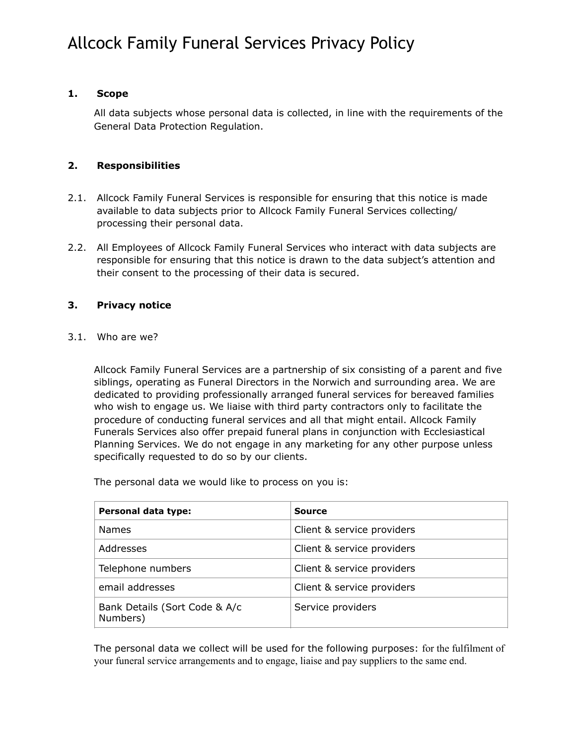## **1. Scope**

All data subjects whose personal data is collected, in line with the requirements of the General Data Protection Regulation.

## **2. Responsibilities**

- 2.1. Allcock Family Funeral Services is responsible for ensuring that this notice is made available to data subjects prior to Allcock Family Funeral Services collecting/ processing their personal data.
- 2.2. All Employees of Allcock Family Funeral Services who interact with data subjects are responsible for ensuring that this notice is drawn to the data subject's attention and their consent to the processing of their data is secured.

## **3. Privacy notice**

3.1. Who are we?

Allcock Family Funeral Services are a partnership of six consisting of a parent and five siblings, operating as Funeral Directors in the Norwich and surrounding area. We are dedicated to providing professionally arranged funeral services for bereaved families who wish to engage us. We liaise with third party contractors only to facilitate the procedure of conducting funeral services and all that might entail. Allcock Family Funerals Services also offer prepaid funeral plans in conjunction with Ecclesiastical Planning Services. We do not engage in any marketing for any other purpose unless specifically requested to do so by our clients.

The personal data we would like to process on you is:

| Personal data type:                       | <b>Source</b>              |
|-------------------------------------------|----------------------------|
| <b>Names</b>                              | Client & service providers |
| Addresses                                 | Client & service providers |
| Telephone numbers                         | Client & service providers |
| email addresses                           | Client & service providers |
| Bank Details (Sort Code & A/c<br>Numbers) | Service providers          |

The personal data we collect will be used for the following purposes: for the fulfilment of your funeral service arrangements and to engage, liaise and pay suppliers to the same end.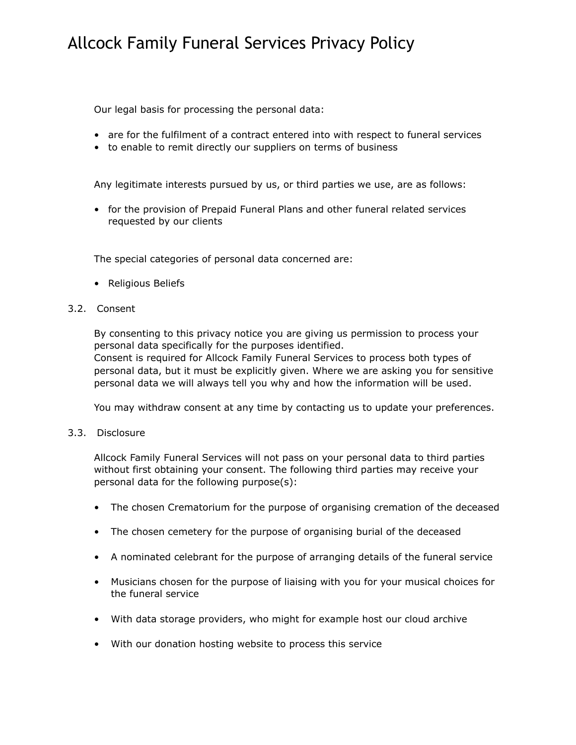Our legal basis for processing the personal data:

- are for the fulfilment of a contract entered into with respect to funeral services
- to enable to remit directly our suppliers on terms of business

Any legitimate interests pursued by us, or third parties we use, are as follows:

• for the provision of Prepaid Funeral Plans and other funeral related services requested by our clients

The special categories of personal data concerned are:

• Religious Beliefs

### 3.2. Consent

By consenting to this privacy notice you are giving us permission to process your personal data specifically for the purposes identified.

Consent is required for Allcock Family Funeral Services to process both types of personal data, but it must be explicitly given. Where we are asking you for sensitive personal data we will always tell you why and how the information will be used.

You may withdraw consent at any time by contacting us to update your preferences.

### 3.3. Disclosure

Allcock Family Funeral Services will not pass on your personal data to third parties without first obtaining your consent. The following third parties may receive your personal data for the following purpose(s):

- The chosen Crematorium for the purpose of organising cremation of the deceased
- The chosen cemetery for the purpose of organising burial of the deceased
- A nominated celebrant for the purpose of arranging details of the funeral service
- Musicians chosen for the purpose of liaising with you for your musical choices for the funeral service
- With data storage providers, who might for example host our cloud archive
- With our donation hosting website to process this service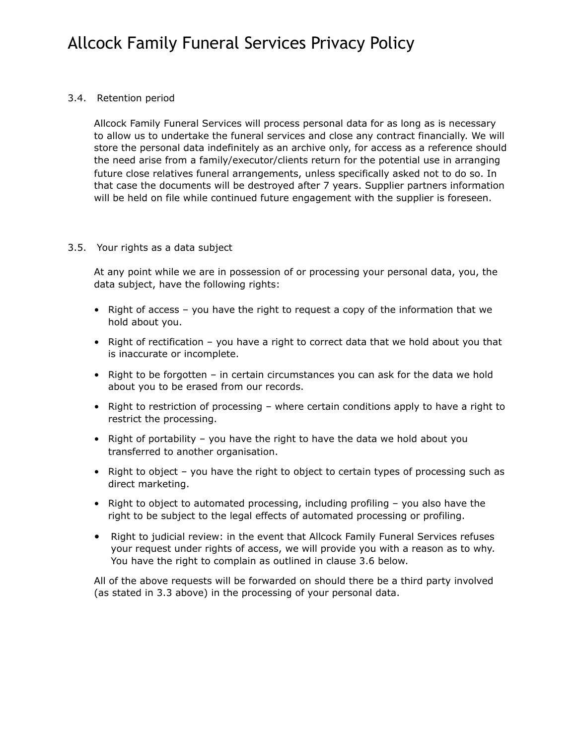## 3.4. Retention period

Allcock Family Funeral Services will process personal data for as long as is necessary to allow us to undertake the funeral services and close any contract financially. We will store the personal data indefinitely as an archive only, for access as a reference should the need arise from a family/executor/clients return for the potential use in arranging future close relatives funeral arrangements, unless specifically asked not to do so. In that case the documents will be destroyed after 7 years. Supplier partners information will be held on file while continued future engagement with the supplier is foreseen.

## 3.5. Your rights as a data subject

At any point while we are in possession of or processing your personal data, you, the data subject, have the following rights:

- Right of access you have the right to request a copy of the information that we hold about you.
- Right of rectification you have a right to correct data that we hold about you that is inaccurate or incomplete.
- Right to be forgotten in certain circumstances you can ask for the data we hold about you to be erased from our records.
- Right to restriction of processing where certain conditions apply to have a right to restrict the processing.
- Right of portability you have the right to have the data we hold about you transferred to another organisation.
- Right to object you have the right to object to certain types of processing such as direct marketing.
- Right to object to automated processing, including profiling you also have the right to be subject to the legal effects of automated processing or profiling.
- Right to judicial review: in the event that Allcock Family Funeral Services refuses your request under rights of access, we will provide you with a reason as to why. You have the right to complain as outlined in clause 3.6 below.

All of the above requests will be forwarded on should there be a third party involved (as stated in 3.3 above) in the processing of your personal data.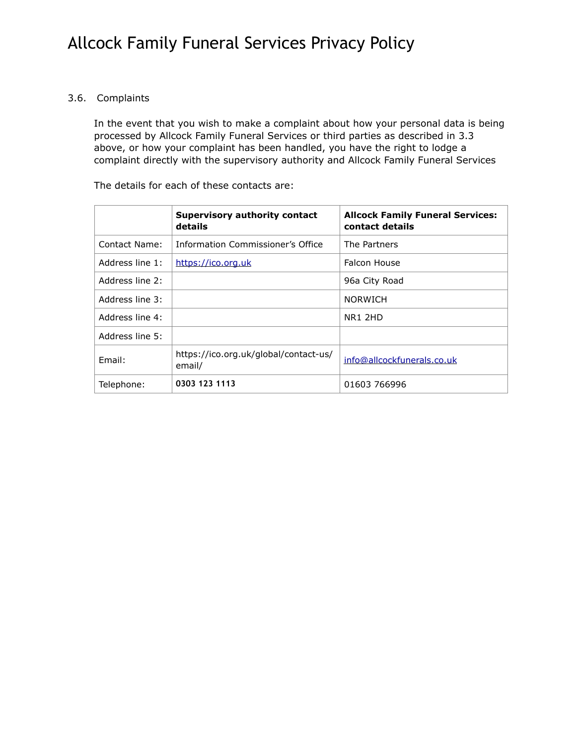## 3.6. Complaints

In the event that you wish to make a complaint about how your personal data is being processed by Allcock Family Funeral Services or third parties as described in 3.3 above, or how your complaint has been handled, you have the right to lodge a complaint directly with the supervisory authority and Allcock Family Funeral Services

The details for each of these contacts are:

|                 | <b>Supervisory authority contact</b><br>details | <b>Allcock Family Funeral Services:</b><br>contact details |
|-----------------|-------------------------------------------------|------------------------------------------------------------|
| Contact Name:   | Information Commissioner's Office               | The Partners                                               |
| Address line 1: | https://ico.org.uk                              | Falcon House                                               |
| Address line 2: |                                                 | 96a City Road                                              |
| Address line 3: |                                                 | <b>NORWICH</b>                                             |
| Address line 4: |                                                 | <b>NR1 2HD</b>                                             |
| Address line 5: |                                                 |                                                            |
| Fmail:          | https://ico.org.uk/global/contact-us/<br>email/ | info@allcockfunerals.co.uk                                 |
| Telephone:      | 0303 123 1113                                   | 01603 766996                                               |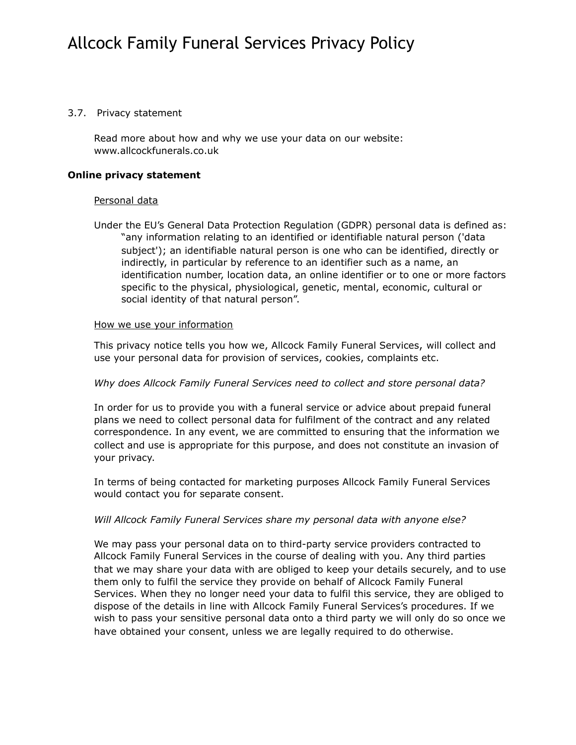### 3.7. Privacy statement

Read more about how and why we use your data on our website: www.allcockfunerals.co.uk

#### **Online privacy statement**

### Personal data

Under the EU's General Data Protection Regulation (GDPR) personal data is defined as: "any information relating to an identified or identifiable natural person ('data subject'); an identifiable natural person is one who can be identified, directly or indirectly, in particular by reference to an identifier such as a name, an identification number, location data, an online identifier or to one or more factors specific to the physical, physiological, genetic, mental, economic, cultural or social identity of that natural person".

#### How we use your information

This privacy notice tells you how we, Allcock Family Funeral Services, will collect and use your personal data for provision of services, cookies, complaints etc.

### *Why does Allcock Family Funeral Services need to collect and store personal data?*

In order for us to provide you with a funeral service or advice about prepaid funeral plans we need to collect personal data for fulfilment of the contract and any related correspondence. In any event, we are committed to ensuring that the information we collect and use is appropriate for this purpose, and does not constitute an invasion of your privacy.

In terms of being contacted for marketing purposes Allcock Family Funeral Services would contact you for separate consent.

#### *Will Allcock Family Funeral Services share my personal data with anyone else?*

We may pass your personal data on to third-party service providers contracted to Allcock Family Funeral Services in the course of dealing with you. Any third parties that we may share your data with are obliged to keep your details securely, and to use them only to fulfil the service they provide on behalf of Allcock Family Funeral Services. When they no longer need your data to fulfil this service, they are obliged to dispose of the details in line with Allcock Family Funeral Services's procedures. If we wish to pass your sensitive personal data onto a third party we will only do so once we have obtained your consent, unless we are legally required to do otherwise.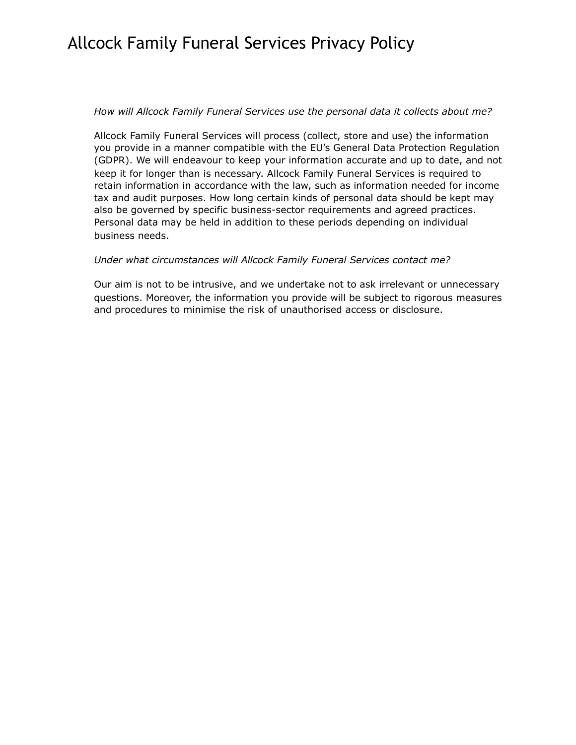## *How will Allcock Family Funeral Services use the personal data it collects about me?*

Allcock Family Funeral Services will process (collect, store and use) the information you provide in a manner compatible with the EU's General Data Protection Regulation (GDPR). We will endeavour to keep your information accurate and up to date, and not keep it for longer than is necessary. Allcock Family Funeral Services is required to retain information in accordance with the law, such as information needed for income tax and audit purposes. How long certain kinds of personal data should be kept may also be governed by specific business-sector requirements and agreed practices. Personal data may be held in addition to these periods depending on individual business needs.

## *Under what circumstances will Allcock Family Funeral Services contact me?*

Our aim is not to be intrusive, and we undertake not to ask irrelevant or unnecessary questions. Moreover, the information you provide will be subject to rigorous measures and procedures to minimise the risk of unauthorised access or disclosure.